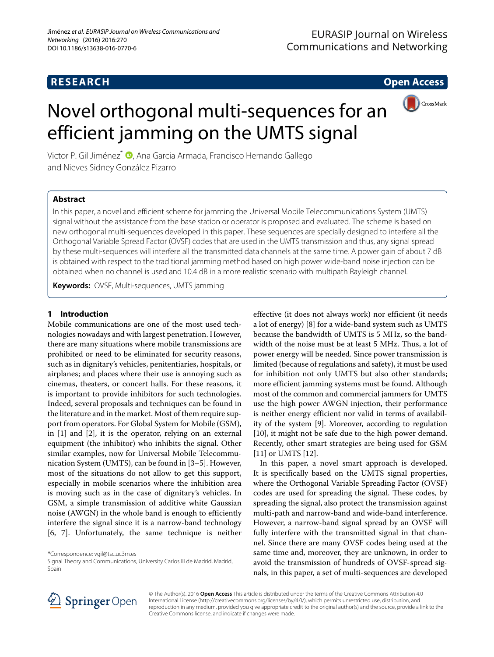

# Novel orthogonal multi-sequences for an efficient jamming on the UMTS signal

Victor P. Gil Jiménez<sup>\*</sup> (D[,](http://orcid.org/0000-0001-7029-1710) Ana Garcia Armada, Francisco Hernando Gallego and Nieves Sidney González Pizarro

# **Abstract**

In this paper, a novel and efficient scheme for jamming the Universal Mobile Telecommunications System (UMTS) signal without the assistance from the base station or operator is proposed and evaluated. The scheme is based on new orthogonal multi-sequences developed in this paper. These sequences are specially designed to interfere all the Orthogonal Variable Spread Factor (OVSF) codes that are used in the UMTS transmission and thus, any signal spread by these multi-sequences will interfere all the transmitted data channels at the same time. A power gain of about 7 dB is obtained with respect to the traditional jamming method based on high power wide-band noise injection can be obtained when no channel is used and 10.4 dB in a more realistic scenario with multipath Rayleigh channel.

**Keywords:** OVSF, Multi-sequences, UMTS jamming

## **1 Introduction**

Mobile communications are one of the most used technologies nowadays and with largest penetration. However, there are many situations where mobile transmissions are prohibited or need to be eliminated for security reasons, such as in dignitary's vehicles, penitentiaries, hospitals, or airplanes; and places where their use is annoying such as cinemas, theaters, or concert halls. For these reasons, it is important to provide inhibitors for such technologies. Indeed, several proposals and techniques can be found in the literature and in the market. Most of them require support from operators. For Global System for Mobile (GSM), in [\[1\]](#page-6-0) and [\[2\]](#page-6-1), it is the operator, relying on an external equipment (the inhibitor) who inhibits the signal. Other similar examples, now for Universal Mobile Telecommunication System (UMTS), can be found in [\[3–](#page-6-2)[5\]](#page-6-3). However, most of the situations do not allow to get this support, especially in mobile scenarios where the inhibition area is moving such as in the case of dignitary's vehicles. In GSM, a simple transmission of additive white Gaussian noise (AWGN) in the whole band is enough to efficiently interfere the signal since it is a narrow-band technology [\[6,](#page-6-4) [7\]](#page-7-0). Unfortunately, the same technique is neither

effective (it does not always work) nor efficient (it needs a lot of energy) [\[8\]](#page-7-1) for a wide-band system such as UMTS because the bandwidth of UMTS is 5 MHz, so the bandwidth of the noise must be at least 5 MHz. Thus, a lot of power energy will be needed. Since power transmission is limited (because of regulations and safety), it must be used for inhibition not only UMTS but also other standards; more efficient jamming systems must be found. Although most of the common and commercial jammers for UMTS use the high power AWGN injection, their performance is neither energy efficient nor valid in terms of availability of the system [\[9\]](#page-7-2). Moreover, according to regulation [\[10\]](#page-7-3), it might not be safe due to the high power demand. Recently, other smart strategies are being used for GSM [\[11\]](#page-7-4) or UMTS [\[12\]](#page-7-5).

In this paper, a novel smart approach is developed. It is specifically based on the UMTS signal properties, where the Orthogonal Variable Spreading Factor (OVSF) codes are used for spreading the signal. These codes, by spreading the signal, also protect the transmission against multi-path and narrow-band and wide-band interference. However, a narrow-band signal spread by an OVSF will fully interfere with the transmitted signal in that channel. Since there are many OVSF codes being used at the same time and, moreover, they are unknown, in order to avoid the transmission of hundreds of OVSF-spread signals, in this paper, a set of multi-sequences are developed



© The Author(s). 2016 **Open Access** This article is distributed under the terms of the Creative Commons Attribution 4.0 International License [\(http://creativecommons.org/licenses/by/4.0/\)](http://creativecommons.org/licenses/by/4.0/), which permits unrestricted use, distribution, and reproduction in any medium, provided you give appropriate credit to the original author(s) and the source, provide a link to the Creative Commons license, and indicate if changes were made.

<sup>\*</sup>Correspondence: [vgil@tsc.uc3m.es](mailto: vgil@tsc.uc3m.es)

Signal Theory and Communications, University Carlos III de Madrid, Madrid, Spain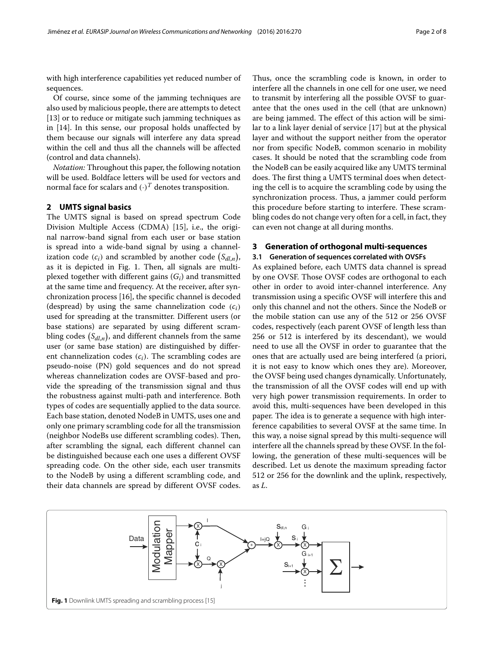with high interference capabilities yet reduced number of sequences.

Of course, since some of the jamming techniques are also used by malicious people, there are attempts to detect [\[13\]](#page-7-6) or to reduce or mitigate such jamming techniques as in [\[14\]](#page-7-7). In this sense, our proposal holds unaffected by them because our signals will interfere any data spread within the cell and thus all the channels will be affected (control and data channels).

*Notation:* Throughout this paper, the following notation will be used. Boldface letters will be used for vectors and normal face for scalars and  $(\cdot)^T$  denotes transposition.

### **2 UMTS signal basics**

The UMTS signal is based on spread spectrum Code Division Multiple Access (CDMA) [\[15\]](#page-7-8), i.e., the original narrow-band signal from each user or base station is spread into a wide-band signal by using a channelization code  $(c_i)$  and scrambled by another code  $(S_{dl,n}),$ as it is depicted in Fig. [1.](#page-1-0) Then, all signals are multiplexed together with different gains (*Gi*) and transmitted at the same time and frequency. At the receiver, after synchronization process [\[16\]](#page-7-9), the specific channel is decoded (despread) by using the same channelization code (*ci*) used for spreading at the transmitter. Different users (or base stations) are separated by using different scrambling codes  $\left(S_{dl,n}\right)$ , and different channels from the same user (or same base station) are distinguished by different channelization codes (*ci*). The scrambling codes are pseudo-noise (PN) gold sequences and do not spread whereas channelization codes are OVSF-based and provide the spreading of the transmission signal and thus the robustness against multi-path and interference. Both types of codes are sequentially applied to the data source. Each base station, denoted NodeB in UMTS, uses one and only one primary scrambling code for all the transmission (neighbor NodeBs use different scrambling codes). Then, after scrambling the signal, each different channel can be distinguished because each one uses a different OVSF spreading code. On the other side, each user transmits to the NodeB by using a different scrambling code, and their data channels are spread by different OVSF codes.

Thus, once the scrambling code is known, in order to interfere all the channels in one cell for one user, we need to transmit by interfering all the possible OVSF to guarantee that the ones used in the cell (that are unknown) are being jammed. The effect of this action will be similar to a link layer denial of service [\[17\]](#page-7-10) but at the physical layer and without the support neither from the operator nor from specific NodeB, common scenario in mobility cases. It should be noted that the scrambling code from the NodeB can be easily acquired like any UMTS terminal does. The first thing a UMTS terminal does when detecting the cell is to acquire the scrambling code by using the synchronization process. Thus, a jammer could perform this procedure before starting to interfere. These scrambling codes do not change very often for a cell, in fact, they can even not change at all during months.

#### **3 Generation of orthogonal multi-sequences**

**3.1 Generation of sequences correlated with OVSFs** As explained before, each UMTS data channel is spread by one OVSF. Those OVSF codes are orthogonal to each other in order to avoid inter-channel interference. Any transmission using a specific OVSF will interfere this and only this channel and not the others. Since the NodeB or the mobile station can use any of the 512 or 256 OVSF codes, respectively (each parent OVSF of length less than 256 or 512 is interfered by its descendant), we would need to use all the OVSF in order to guarantee that the ones that are actually used are being interfered (a priori, it is not easy to know which ones they are). Moreover, the OVSF being used changes dynamically. Unfortunately, the transmission of all the OVSF codes will end up with very high power transmission requirements. In order to avoid this, multi-sequences have been developed in this paper. The idea is to generate a sequence with high interference capabilities to several OVSF at the same time. In this way, a noise signal spread by this multi-sequence will interfere all the channels spread by these OVSF. In the following, the generation of these multi-sequences will be described. Let us denote the maximum spreading factor 512 or 256 for the downlink and the uplink, respectively, as *L*.

<span id="page-1-0"></span>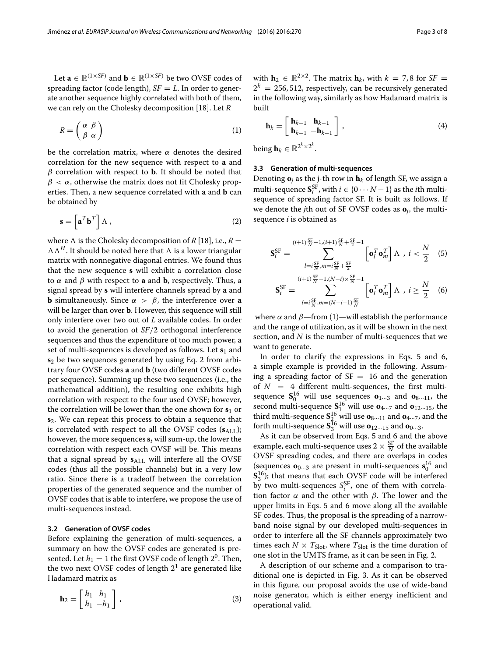Let  $\mathbf{a} \in \mathbb{R}^{(1 \times SF)}$  and  $\mathbf{b} \in \mathbb{R}^{(1 \times SF)}$  be two OVSF codes of spreading factor (code length),  $SF = L$ . In order to generate another sequence highly correlated with both of them, we can rely on the Cholesky decomposition [\[18\]](#page-7-11). Let *R*

$$
R = \begin{pmatrix} \alpha & \beta \\ \beta & \alpha \end{pmatrix} \tag{1}
$$

be the correlation matrix, where  $\alpha$  denotes the desired correlation for the new sequence with respect to **a** and  $β$  correlation with respect to **b**. It should be noted that  $\beta < \alpha$ , otherwise the matrix does not fit Cholesky properties. Then, a new sequence correlated with **a** and **b** can be obtained by

<span id="page-2-0"></span>
$$
\mathbf{s} = \left[ \mathbf{a}^T \mathbf{b}^T \right] \Lambda \,, \tag{2}
$$

where  $\Lambda$  is the Cholesky decomposition of *R* [\[18\]](#page-7-11), i.e.,  $R =$  $\Lambda \Lambda^H$ . It should be noted here that  $\Lambda$  is a lower triangular matrix with nonnegative diagonal entries. We found thus that the new sequence **s** will exhibit a correlation close to  $\alpha$  and  $\beta$  with respect to **a** and **b**, respectively. Thus, a signal spread by **s** will interfere channels spread by **a** and **b** simultaneously. Since  $\alpha > \beta$ , the interference over **a** will be larger than over **b**. However, this sequence will still only interfere over two out of *L* available codes. In order to avoid the generation of *SF*/2 orthogonal interference sequences and thus the expenditure of too much power, a set of multi-sequences is developed as follows. Let **s**<sup>1</sup> and **s**<sup>2</sup> be two sequences generated by using Eq. [2](#page-2-0) from arbitrary four OVSF codes **a** and **b** (two different OVSF codes per sequence). Summing up these two sequences (i.e., the mathematical addition), the resulting one exhibits high correlation with respect to the four used OVSF; however, the correlation will be lower than the one shown for  $s_1$  or **s**2. We can repeat this process to obtain a sequence that is correlated with respect to all the OVSF codes  $(s_{\text{ALL}})$ ; however, the more sequences **s***<sup>i</sup>* will sum-up, the lower the correlation with respect each OVSF will be. This means that a signal spread by  $s_{ALL}$  will interfere all the OVSF codes (thus all the possible channels) but in a very low ratio. Since there is a tradeoff between the correlation properties of the generated sequence and the number of OVSF codes that is able to interfere, we propose the use of multi-sequences instead.

#### **3.2 Generation of OVSF codes**

Before explaining the generation of multi-sequences, a summary on how the OVSF codes are generated is presented. Let  $h_1 = 1$  the first OVSF code of length  $2^0$ . Then, the two next OVSF codes of length  $2<sup>1</sup>$  are generated like Hadamard matrix as

$$
\mathbf{h}_2 = \begin{bmatrix} h_1 & h_1 \\ h_1 & -h_1 \end{bmatrix},\tag{3}
$$

with **h**<sub>2</sub>  $\in \mathbb{R}^{2 \times 2}$ . The matrix **h**<sub>*k*</sub>, with *k* = 7,8 for *SF* =  $2^k = 256, 512$ , respectively, can be recursively generated in the following way, similarly as how Hadamard matrix is built

<span id="page-2-1"></span>
$$
\mathbf{h}_{k} = \begin{bmatrix} \mathbf{h}_{k-1} & \mathbf{h}_{k-1} \\ \mathbf{h}_{k-1} & -\mathbf{h}_{k-1} \end{bmatrix},
$$
(4)

being  $\mathbf{h}_k \in \mathbb{R}^{2^k \times 2^k}$ .

#### **3.3 Generation of multi-sequences**

Denoting  $\mathbf{o}_i$  as the j-th row in  $\mathbf{h}_k$  of length SF, we assign a multi-sequence  $S_i^{\text{SF}}$ , with  $i \in \{0 \cdots N-1\}$  as the *i*th multisequence of spreading factor SF. It is built as follows. If we denote the *j*th out of SF OVSF codes as **o***j*, the multisequence *i* is obtained as

<span id="page-2-2"></span>
$$
\mathbf{S}_{i}^{\text{SF}} = \sum_{l=i\frac{\text{SF}}{N}, m=i\frac{\text{SF}}{N} + \frac{\text{SF}}{2}}^{(i+1)\frac{\text{SF}}{N} - 1, (i+1)\frac{\text{SF}}{N} + \frac{\text{SF}}{2}} \left[ \mathbf{o}_{l}^{T} \mathbf{o}_{m}^{T} \right] \Lambda , i < \frac{N}{2} \quad (5)
$$
  

$$
\mathbf{S}_{i}^{\text{SF}} = \sum_{l=i\frac{\text{SF}}{N}, m=(N-i-1)\frac{\text{SF}}{N}}^{(i+1)\frac{\text{SF}}{N} - 1, (N-i) \times \frac{\text{SF}}{N} - 1} \left[ \mathbf{o}_{l}^{T} \mathbf{o}_{m}^{T} \right] \Lambda , i \geq \frac{N}{2} \quad (6)
$$

where  $\alpha$  and  $\beta$ —from [\(1\)](#page-2-1)—will establish the performance and the range of utilization, as it will be shown in the next section, and *N* is the number of multi-sequences that we want to generate.

In order to clarify the expressions in Eqs. [5](#page-2-2) and [6,](#page-2-2) a simple example is provided in the following. Assuming a spreading factor of  $SF = 16$  and the generation of  $N = 4$  different multi-sequences, the first multisequence  $S_0^{16}$  will use sequences  $\mathbf{o}_{1\cdots 3}$  and  $\mathbf{o}_{8\cdots 11}$ , the second multi-sequence  $S_1^{16}$  will use  $\mathbf{o}_{4\cdots7}$  and  $\mathbf{o}_{12\cdots15}$ , the third multi-sequence  $S_{\frac{1}{2}}^{16}$  will use  $\mathbf{o}_{8\cdots11}$  and  $\mathbf{o}_{4\cdots7}$ , and the forth multi-sequence  $S_3^{16}$  will use  $o_{12\cdots15}$  and  $o_{0\cdots3}$ .

As it can be observed from Eqs. [5](#page-2-2) and [6](#page-2-2) and the above example, each multi-sequence uses  $2 \times \frac{\text{SF}}{N}$  of the available OVSF spreading codes, and there are overlaps in codes (sequences  $\mathbf{o}_{0\cdots 3}$  are present in multi-sequences  $\mathbf{s}_0^{16}$  and  $S_3^{16}$ ); that means that each OVSF code will be interfered by two multi-sequences  $S_i^{\text{SF}}$ , one of them with correlation factor  $\alpha$  and the other with  $\beta$ . The lower and the upper limits in Eqs. [5](#page-2-2) and [6](#page-2-2) move along all the available SF codes. Thus, the proposal is the spreading of a narrowband noise signal by our developed multi-sequences in order to interfere all the SF channels approximately two times each  $N \times T_{\text{Slot}}$ , where  $T_{\text{Slot}}$  is the time duration of one slot in the UMTS frame, as it can be seen in Fig. [2.](#page-3-0)

A description of our scheme and a comparison to traditional one is depicted in Fig. [3.](#page-3-1) As it can be observed in this figure, our proposal avoids the use of wide-band noise generator, which is either energy inefficient and operational valid.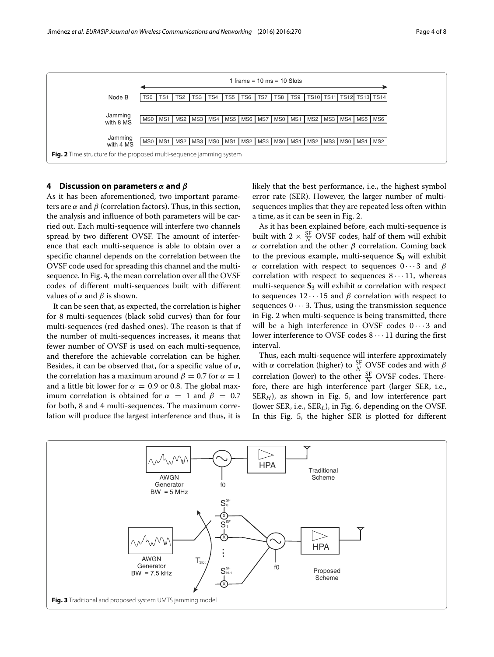

#### <span id="page-3-0"></span>**4 Discussion on parameters** *α* **and** *β*

As it has been aforementioned, two important parameters are  $\alpha$  and  $\beta$  (correlation factors). Thus, in this section, the analysis and influence of both parameters will be carried out. Each multi-sequence will interfere two channels spread by two different OVSF. The amount of interference that each multi-sequence is able to obtain over a specific channel depends on the correlation between the OVSF code used for spreading this channel and the multisequence. In Fig. [4,](#page-4-0) the mean correlation over all the OVSF codes of different multi-sequences built with different values of  $\alpha$  and  $\beta$  is shown.

It can be seen that, as expected, the correlation is higher for 8 multi-sequences (black solid curves) than for four multi-sequences (red dashed ones). The reason is that if the number of multi-sequences increases, it means that fewer number of OVSF is used on each multi-sequence, and therefore the achievable correlation can be higher. Besides, it can be observed that, for a specific value of  $\alpha$ , the correlation has a maximum around  $\beta = 0.7$  for  $\alpha = 1$ and a little bit lower for  $\alpha = 0.9$  or 0.8. The global maximum correlation is obtained for  $\alpha = 1$  and  $\beta = 0.7$ for both, 8 and 4 multi-sequences. The maximum correlation will produce the largest interference and thus, it is

likely that the best performance, i.e., the highest symbol error rate (SER). However, the larger number of multisequences implies that they are repeated less often within a time, as it can be seen in Fig. [2.](#page-3-0)

As it has been explained before, each multi-sequence is built with  $2 \times \frac{\text{SF}}{N}$  OVSF codes, half of them will exhibit α correlation and the other β correlation. Coming back to the previous example, multi-sequence  $S_0$  will exhibit α correlation with respect to sequences  $0 \cdots 3$  and  $β$ correlation with respect to sequences  $8 \cdots 11$ , whereas multi-sequence  $S_3$  will exhibit  $\alpha$  correlation with respect to sequences  $12 \cdots 15$  and  $\beta$  correlation with respect to sequences  $0 \cdots 3$ . Thus, using the transmission sequence in Fig. [2](#page-3-0) when multi-sequence is being transmitted, there will be a high interference in OVSF codes  $0 \cdots 3$  and lower interference to OVSF codes  $8 \cdots 11$  during the first interval.

Thus, each multi-sequence will interfere approximately with  $\alpha$  correlation (higher) to  $\frac{SF}{N}$  OVSF codes and with  $\beta$ correlation (lower) to the other  $\frac{\text{SF}}{N}$  OVSF codes. Therefore, there are high interference part (larger SER, i.e.,  $SER<sub>H</sub>$ ), as shown in Fig. [5,](#page-4-1) and low interference part (lower SER, i.e., SER*L*), in Fig. [6,](#page-4-2) depending on the OVSF. In this Fig. [5,](#page-4-1) the higher SER is plotted for different

<span id="page-3-1"></span>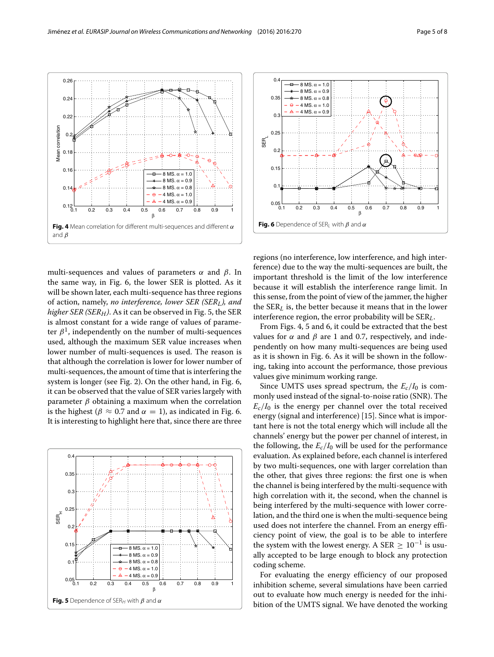multi-sequences and values of parameters  $\alpha$  and  $\beta$ . In the same way, in Fig. [6,](#page-4-2) the lower SER is plotted. As it will be shown later, each multi-sequence has three regions of action, namely, *no interference, lower SER (SERL), and higher SER (SERH)*. As it can be observed in Fig. [5,](#page-4-1) the SER is almost constant for a wide range of values of parameter  $\beta^1$ , independently on the number of multi-sequences used, although the maximum SER value increases when lower number of multi-sequences is used. The reason is that although the correlation is lower for lower number of multi-sequences, the amount of time that is interfering the system is longer (see Fig. [2\)](#page-3-0). On the other hand, in Fig. [6,](#page-4-2) it can be observed that the value of SER varies largely with parameter  $β$  obtaining a maximum when the correlation is the highest ( $\beta \approx 0.7$  and  $\alpha = 1$ ), as indicated in Fig. [6.](#page-4-2)

0.1 0.2 0.3 0.4 0.5 0.6 0.7 0.8 0.9 <sup>1</sup> 0.12

**Fig. 4** Mean correlation for different multi-sequences and different α

β

4 MS.  $\alpha$  = 0.9

 $0.1$ 

<span id="page-4-0"></span>and  $\beta$ 

 $\Omega$ 

 $0.16$ 

 $0.1$ 

Mean correlation

Mean correlation

 $\Omega$ 

 $0.22$ 

0.24

0.26

It is interesting to highlight here that, since there are three  $0.1$  $0.2$  $0.25$  $0.3$ 0.35  $0.4$ SERH 8 MS.  $\alpha$  = 1.0

0.1 0.2 0.3 0.4 0.5 0.6 0.7 0.8 0.9 <sup>1</sup> 0.05

 $8$  MS.  $\alpha = 0.9$ 8 MS.  $\alpha = 0.8$  $-4$  MS.  $\alpha = 1.0$ 4 MS.  $\alpha$  = 0.9

<span id="page-4-1"></span>**Fig. 5** Dependence of SER<sub>H</sub> with  $\beta$  and  $\alpha$ 

 $\Theta$ 

β

For evaluating the energy efficiency of our proposed inhibition scheme, several simulations have been carried out to evaluate how much energy is needed for the inhibition of the UMTS signal. We have denoted the working





0.1 0.2 0.3 0.4 0.5 0.6 0.7 0.8 0.9 <sup>1</sup> 0.05

<span id="page-4-2"></span>**Fig. 6** Dependence of SER<sub>L</sub> with  $\beta$  and  $\alpha$ 

β

From Figs. [4,](#page-4-0) [5](#page-4-1) and [6,](#page-4-2) it could be extracted that the best values for  $\alpha$  and  $\beta$  are 1 and 0.7, respectively, and independently on how many multi-sequences are being used as it is shown in Fig. [6.](#page-4-2) As it will be shown in the following, taking into account the performance, those previous values give minimum working range.

Since UMTS uses spread spectrum, the  $E_c/I_0$  is commonly used instead of the signal-to-noise ratio (SNR). The  $E_c/I_0$  is the energy per channel over the total received energy (signal and interference) [\[15\]](#page-7-8). Since what is important here is not the total energy which will include all the channels' energy but the power per channel of interest, in the following, the  $E_c/I_0$  will be used for the performance evaluation. As explained before, each channel is interfered by two multi-sequences, one with larger correlation than the other, that gives three regions: the first one is when the channel is being interfered by the multi-sequence with high correlation with it, the second, when the channel is being interfered by the multi-sequence with lower correlation, and the third one is when the multi-sequence being used does not interfere the channel. From an energy efficiency point of view, the goal is to be able to interfere the system with the lowest energy. A SER  $\geq 10^{-1}$  is usually accepted to be large enough to block any protection coding scheme.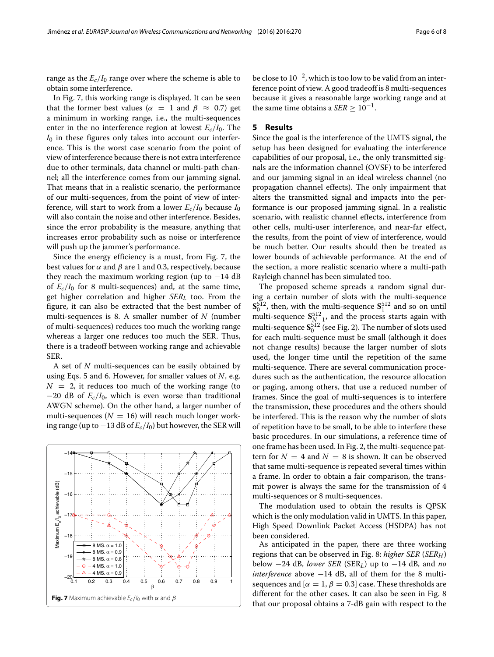range as the  $E_c/I_0$  range over where the scheme is able to obtain some interference.

In Fig. [7,](#page-5-0) this working range is displayed. It can be seen that the former best values ( $\alpha = 1$  and  $\beta \approx 0.7$ ) get a minimum in working range, i.e., the multi-sequences enter in the no interference region at lowest  $E_c/I_0$ . The  $I_0$  in these figures only takes into account our interference. This is the worst case scenario from the point of view of interference because there is not extra interference due to other terminals, data channel or multi-path channel; all the interference comes from our jamming signal. That means that in a realistic scenario, the performance of our multi-sequences, from the point of view of interference, will start to work from a lower  $E_c/I_0$  because  $I_0$ will also contain the noise and other interference. Besides, since the error probability is the measure, anything that increases error probability such as noise or interference will push up the jammer's performance.

Since the energy efficiency is a must, from Fig. [7,](#page-5-0) the best values for  $\alpha$  and  $\beta$  are 1 and 0.3, respectively, because they reach the maximum working region (up to −14 dB of  $E_c/I_0$  for 8 multi-sequences) and, at the same time, get higher correlation and higher *SERL* too. From the figure, it can also be extracted that the best number of multi-sequences is 8. A smaller number of *N* (number of multi-sequences) reduces too much the working range whereas a larger one reduces too much the SER. Thus, there is a tradeoff between working range and achievable SER.

A set of *N* multi-sequences can be easily obtained by using Eqs. [5](#page-2-2) and [6.](#page-2-2) However, for smaller values of *N*, e.g.  $N = 2$ , it reduces too much of the working range (to −20 dB of *Ec*/*I*0, which is even worse than traditional AWGN scheme). On the other hand, a larger number of multi-sequences ( $N = 16$ ) will reach much longer working range (up to  $-13$  dB of  $E_c/I_0$ ) but however, the SER will

<span id="page-5-0"></span>

be close to  $10^{-2}$ , which is too low to be valid from an interference point of view. A good tradeoff is 8 multi-sequences because it gives a reasonable large working range and at the same time obtains a *SER*  $\geq 10^{-1}$ .

#### **5 Results**

Since the goal is the interference of the UMTS signal, the setup has been designed for evaluating the interference capabilities of our proposal, i.e., the only transmitted signals are the information channel (OVSF) to be interfered and our jamming signal in an ideal wireless channel (no propagation channel effects). The only impairment that alters the transmitted signal and impacts into the performance is our proposed jamming signal. In a realistic scenario, with realistic channel effects, interference from other cells, multi-user interference, and near-far effect, the results, from the point of view of interference, would be much better. Our results should then be treated as lower bounds of achievable performance. At the end of the section, a more realistic scenario where a multi-path Rayleigh channel has been simulated too.

The proposed scheme spreads a random signal during a certain number of slots with the multi-sequence  $\mathbf{S}_0^{512}$ , then, with the multi-sequence  $\mathbf{S}_1^{512}$  and so on until multi-sequence  $S_{N-1}^{512}$ , and the process starts again with multi-sequence  $\mathbf{S}_0^{512}$  (see Fig. [2\)](#page-3-0). The number of slots used for each multi-sequence must be small (although it does not change results) because the larger number of slots used, the longer time until the repetition of the same multi-sequence. There are several communication procedures such as the authentication, the resource allocation or paging, among others, that use a reduced number of frames. Since the goal of multi-sequences is to interfere the transmission, these procedures and the others should be interfered. This is the reason why the number of slots of repetition have to be small, to be able to interfere these basic procedures. In our simulations, a reference time of one frame has been used. In Fig. [2,](#page-3-0) the multi-sequence pattern for  $N = 4$  and  $N = 8$  is shown. It can be observed that same multi-sequence is repeated several times within a frame. In order to obtain a fair comparison, the transmit power is always the same for the transmission of 4 multi-sequences or 8 multi-sequences.

The modulation used to obtain the results is QPSK which is the only modulation valid in UMTS. In this paper, High Speed Downlink Packet Access (HSDPA) has not been considered.

As anticipated in the paper, there are three working regions that can be observed in Fig. [8:](#page-6-5) *higher SER* (*SERH*) below −24 dB, *lower SER* (SER*L*) up to −14 dB, and *no interference* above −14 dB, all of them for the 8 multisequences and  $\alpha = 1$ ,  $\beta = 0.3$  case. These thresholds are different for the other cases. It can also be seen in Fig. [8](#page-6-5) that our proposal obtains a 7-dB gain with respect to the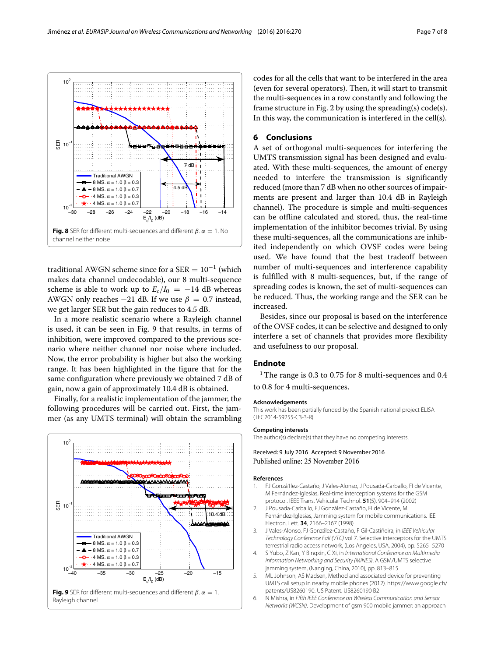

<span id="page-6-5"></span>traditional AWGN scheme since for a  $SER = 10^{-1}$  (which makes data channel undecodable), our 8 multi-sequence scheme is able to work up to  $E_c/I_0 = -14$  dB whereas AWGN only reaches  $-21$  dB. If we use  $\beta = 0.7$  instead, we get larger SER but the gain reduces to 4.5 dB.

In a more realistic scenario where a Rayleigh channel is used, it can be seen in Fig. [9](#page-6-6) that results, in terms of inhibition, were improved compared to the previous scenario where neither channel nor noise where included. Now, the error probability is higher but also the working range. It has been highlighted in the figure that for the same configuration where previously we obtained 7 dB of gain, now a gain of approximately 10.4 dB is obtained.

Finally, for a realistic implementation of the jammer, the following procedures will be carried out. First, the jammer (as any UMTS terminal) will obtain the scrambling

<span id="page-6-6"></span>

codes for all the cells that want to be interfered in the area (even for several operators). Then, it will start to transmit the multi-sequences in a row constantly and following the frame structure in Fig. [2](#page-3-0) by using the spreading(s) code(s). In this way, the communication is interfered in the cell(s).

#### **6 Conclusions**

A set of orthogonal multi-sequences for interfering the UMTS transmission signal has been designed and evaluated. With these multi-sequences, the amount of energy needed to interfere the transmission is significantly reduced (more than 7 dB when no other sources of impairments are present and larger than 10.4 dB in Rayleigh channel). The procedure is simple and multi-sequences can be offline calculated and stored, thus, the real-time implementation of the inhibitor becomes trivial. By using these multi-sequences, all the communications are inhibited independently on which OVSF codes were being used. We have found that the best tradeoff between number of multi-sequences and interference capability is fulfilled with 8 multi-sequences, but, if the range of spreading codes is known, the set of multi-sequences can be reduced. Thus, the working range and the SER can be increased.

Besides, since our proposal is based on the interference of the OVSF codes, it can be selective and designed to only interfere a set of channels that provides more flexibility and usefulness to our proposal.

### **Endnote**

 $1$  The range is 0.3 to 0.75 for 8 multi-sequences and 0.4 to 0.8 for 4 multi-sequences.

#### **Acknowledgements**

This work has been partially funded by the Spanish national project ELISA (TEC2014-59255-C3-3-R).

#### **Competing interests**

The author(s) declare(s) that they have no competing interests.

Received: 9 July 2016 Accepted: 9 November 2016 Published online: 25 November 2016

#### **References**

- <span id="page-6-0"></span>1. FJ Gonzá1lez-Castaño, J Vales-Alonso, J Pousada-Carballo, FI de Vicente, M Fernández-Iglesias, Real-time interception systems for the GSM protocol. IEEE Trans. Vehicular Technol. **51**(5), 904–914 (2002)
- <span id="page-6-1"></span>2. J Pousada-Carballo, FJ González-Castaño, FI de Vicente, M Fernández-Iglesias, Jamming system for mobile communications. IEE Electron. Lett. **34**, 2166–2167 (1998)
- <span id="page-6-2"></span>3. J Vales-Alonso, FJ González-Castaño, F Gil-Castiñeira, in IEEE Vehicular Technology Conference Fall (VTC) vol 7. Selective interceptors for the UMTS terrestrial radio access network, (Los Angeles, USA, 2004), pp. 5265–5270
- 4. S Yubo, Z Kan, Y Bingxin, C Xi, in International Conference on Multimedia Information Networking and Security (MINES). A GSM/UMTS selective jamming system, (Nanging, China, 2010), pp. 813–815
- <span id="page-6-3"></span>5. ML Johnson, AS Madsen, Method and associated device for preventing UMTS call setup in nearby mobile phones (2012). [https://www.google.ch/](https://www.google.ch/patents/US8260190) [patents/US8260190.](https://www.google.ch/patents/US8260190) US Patent. US8260190 B2
- <span id="page-6-4"></span>6. N Mishra, in Fifth IEEE Conference on Wireless Communication and Sensor Networks (WCSN). Development of gsm 900 mobile jammer: an approach